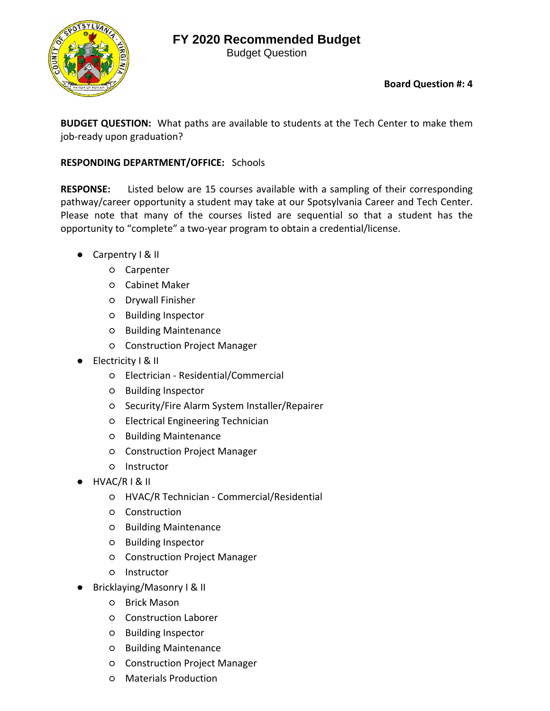Budget Question



**Board Question #: 4**

**BUDGET QUESTION:** What paths are available to students at the Tech Center to make them job-ready upon graduation?

#### **RESPONDING DEPARTMENT/OFFICE:** Schools

**RESPONSE:**  Listed below are 15 courses available with a sampling of their corresponding pathway/career opportunity a student may take at our Spotsylvania Career and Tech Center. Please note that many of the courses listed are sequential so that a student has the opportunity to "complete" a two‐year program to obtain a credential/license.

- Carpentry | & II
	- Carpenter
	- Cabinet Maker
	- Drywall Finisher
	- Building Inspector
	- Building Maintenance
	- Construction Project Manager
- Electricity | & II
	- Electrician ‐ Residential/Commercial
	- Building Inspector
	- Security/Fire Alarm System Installer/Repairer
	- Electrical Engineering Technician
	- Building Maintenance
	- Construction Project Manager
	- Instructor
- HVAC/R I & II
	- HVAC/R Technician ‐ Commercial/Residential
	- Construction
	- Building Maintenance
	- Building Inspector
	- Construction Project Manager
	- Instructor
- Bricklaying/Masonry I & II
	- Brick Mason
	- Construction Laborer
	- Building Inspector
	- Building Maintenance
	- Construction Project Manager
	- Materials Production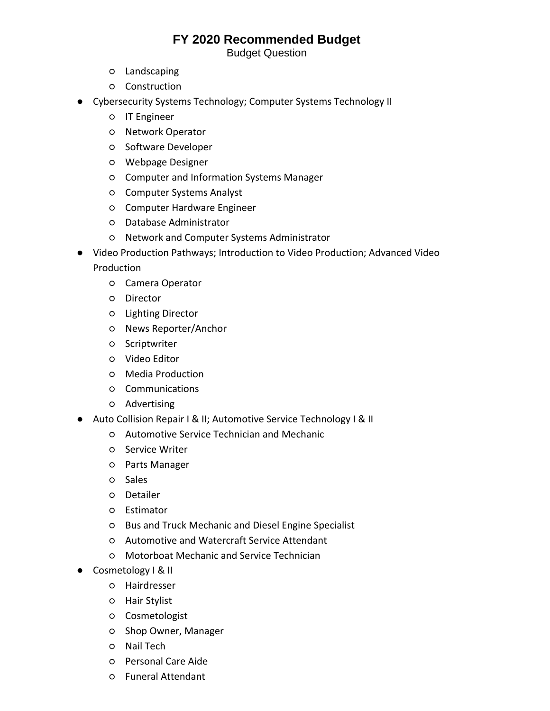Budget Question

- Landscaping
- Construction
- Cybersecurity Systems Technology; Computer Systems Technology II
	- IT Engineer
	- Network Operator
	- Software Developer
	- Webpage Designer
	- Computer and Information Systems Manager
	- Computer Systems Analyst
	- Computer Hardware Engineer
	- Database Administrator
	- Network and Computer Systems Administrator
- Video Production Pathways; Introduction to Video Production; Advanced Video Production
	- Camera Operator
	- Director
	- Lighting Director
	- News Reporter/Anchor
	- Scriptwriter
	- Video Editor
	- Media Production
	- Communications
	- Advertising
- Auto Collision Repair I & II; Automotive Service Technology I & II
	- Automotive Service Technician and Mechanic
	- Service Writer
	- Parts Manager
	- Sales
	- Detailer
	- Estimator
	- Bus and Truck Mechanic and Diesel Engine Specialist
	- Automotive and Watercraft Service Attendant
	- Motorboat Mechanic and Service Technician
- Cosmetology I & II
	- Hairdresser
	- Hair Stylist
	- Cosmetologist
	- Shop Owner, Manager
	- Nail Tech
	- Personal Care Aide
	- Funeral Attendant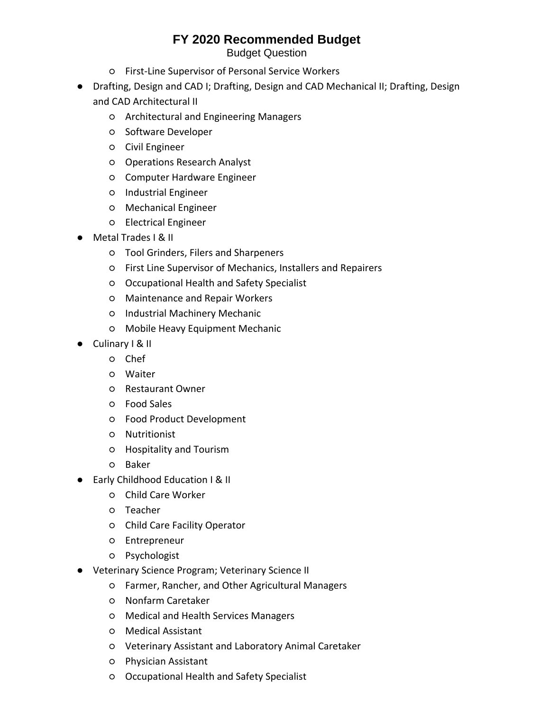Budget Question

- First‐Line Supervisor of Personal Service Workers
- Drafting, Design and CAD I; Drafting, Design and CAD Mechanical II; Drafting, Design and CAD Architectural II
	- Architectural and Engineering Managers
	- Software Developer
	- Civil Engineer
	- Operations Research Analyst
	- Computer Hardware Engineer
	- Industrial Engineer
	- Mechanical Engineer
	- Electrical Engineer
- Metal Trades I & II
	- Tool Grinders, Filers and Sharpeners
	- First Line Supervisor of Mechanics, Installers and Repairers
	- Occupational Health and Safety Specialist
	- Maintenance and Repair Workers
	- Industrial Machinery Mechanic
	- Mobile Heavy Equipment Mechanic
- Culinary I & II
	- Chef
	- Waiter
	- Restaurant Owner
	- Food Sales
	- Food Product Development
	- Nutritionist
	- Hospitality and Tourism
	- Baker
- Early Childhood Education I & II
	- Child Care Worker
	- Teacher
	- Child Care Facility Operator
	- Entrepreneur
	- Psychologist
- Veterinary Science Program; Veterinary Science II
	- Farmer, Rancher, and Other Agricultural Managers
	- Nonfarm Caretaker
	- Medical and Health Services Managers
	- Medical Assistant
	- Veterinary Assistant and Laboratory Animal Caretaker
	- Physician Assistant
	- Occupational Health and Safety Specialist